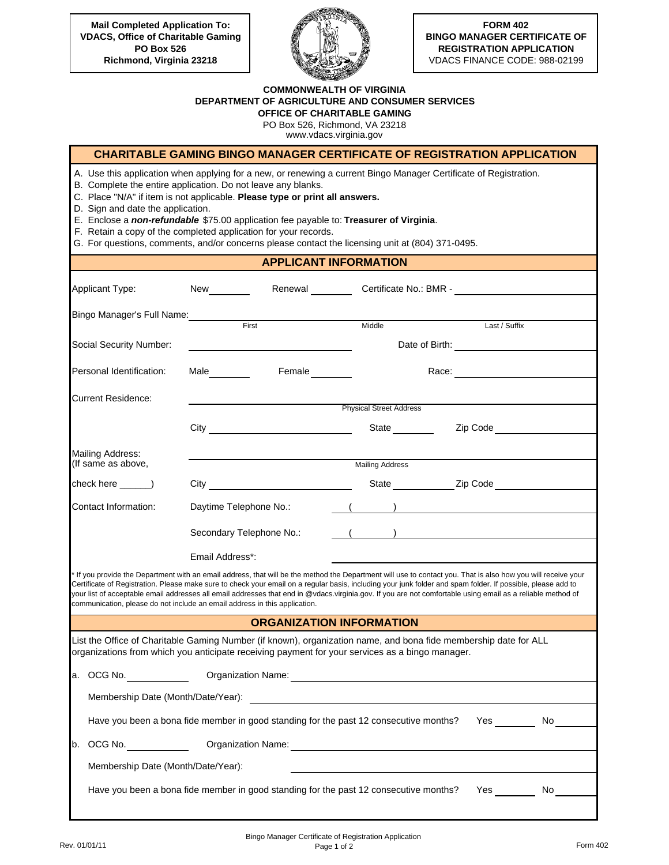**Mail Completed Application To: VDACS, Office of Charitable Gaming PO Box 526 Richmond, Virginia 23218**



**FORM 402 BINGO MANAGER CERTIFICATE OF REGISTRATION APPLICATION**  VDACS FINANCE CODE: 988-02199

## **COMMONWEALTH OF VIRGINIA DEPARTMENT OF AGRICULTURE AND CONSUMER SERVICES OFFICE OF CHARITABLE GAMING**

PO Box 526, Richmond, VA 23218

www.vdacs.virginia.gov

## **CHARITABLE GAMING BINGO MANAGER CERTIFICATE OF REGISTRATION APPLICATION**

A. Use this application when applying for a new, or renewing a current Bingo Manager Certificate of Registration.

B. Complete the entire application. Do not leave any blanks.

C. Place "N/A" if item is not applicable. **Please type or print all answers.** 

D. Sign and date the application.

E. Enclose a *non-refundable* \$75.00 application fee payable to: **Treasurer of Virginia**.

F. Retain a copy of the completed application for your records.

G. For questions, comments, and/or concerns please contact the licensing unit at (804) 371-0495.

## **APPLICANT INFORMATION**

| Applicant Type:                        | New<br>Renewal                                                                                                                                                                                                      |                                 |                                                                                                                                                                                                                                                                                                                                                                                                                                                                                            |  |  |  |
|----------------------------------------|---------------------------------------------------------------------------------------------------------------------------------------------------------------------------------------------------------------------|---------------------------------|--------------------------------------------------------------------------------------------------------------------------------------------------------------------------------------------------------------------------------------------------------------------------------------------------------------------------------------------------------------------------------------------------------------------------------------------------------------------------------------------|--|--|--|
| Bingo Manager's Full Name:             |                                                                                                                                                                                                                     |                                 |                                                                                                                                                                                                                                                                                                                                                                                                                                                                                            |  |  |  |
|                                        | First                                                                                                                                                                                                               | Middle                          | Last / Suffix                                                                                                                                                                                                                                                                                                                                                                                                                                                                              |  |  |  |
| Social Security Number:                |                                                                                                                                                                                                                     |                                 | Date of Birth: <u>contract and the set of the set of the set of the set of the set of the set of the set of the set of the set of the set of the set of the set of the set of the set of the set of the set of the set of the se</u>                                                                                                                                                                                                                                                       |  |  |  |
| Personal Identification:               | Male________<br>Female                                                                                                                                                                                              |                                 |                                                                                                                                                                                                                                                                                                                                                                                                                                                                                            |  |  |  |
| <b>Current Residence:</b>              |                                                                                                                                                                                                                     |                                 |                                                                                                                                                                                                                                                                                                                                                                                                                                                                                            |  |  |  |
|                                        |                                                                                                                                                                                                                     | Physical Street Address         |                                                                                                                                                                                                                                                                                                                                                                                                                                                                                            |  |  |  |
|                                        | City <b>Called Structure Contract City</b>                                                                                                                                                                          |                                 | State <b>Example 22</b> Zip Code                                                                                                                                                                                                                                                                                                                                                                                                                                                           |  |  |  |
| Mailing Address:<br>(If same as above, |                                                                                                                                                                                                                     | <b>Mailing Address</b>          |                                                                                                                                                                                                                                                                                                                                                                                                                                                                                            |  |  |  |
|                                        |                                                                                                                                                                                                                     |                                 |                                                                                                                                                                                                                                                                                                                                                                                                                                                                                            |  |  |  |
|                                        |                                                                                                                                                                                                                     |                                 | State ______________________Zip Code                                                                                                                                                                                                                                                                                                                                                                                                                                                       |  |  |  |
| Contact Information:                   | Daytime Telephone No.:                                                                                                                                                                                              |                                 | $\left(\begin{array}{cc} 0 & 0 \end{array}\right)$                                                                                                                                                                                                                                                                                                                                                                                                                                         |  |  |  |
|                                        | Secondary Telephone No.:                                                                                                                                                                                            |                                 | $($ $)$                                                                                                                                                                                                                                                                                                                                                                                                                                                                                    |  |  |  |
|                                        | Email Address*:                                                                                                                                                                                                     |                                 |                                                                                                                                                                                                                                                                                                                                                                                                                                                                                            |  |  |  |
|                                        | communication, please do not include an email address in this application.                                                                                                                                          |                                 | If you provide the Department with an email address, that will be the method the Department will use to contact you. That is also how you will receive your<br>Certificate of Registration. Please make sure to check your email on a regular basis, including your junk folder and spam folder. If possible, please add to<br>your list of acceptable email addresses all email addresses that end in @vdacs.virginia.gov. If you are not comfortable using email as a reliable method of |  |  |  |
|                                        |                                                                                                                                                                                                                     | <b>ORGANIZATION INFORMATION</b> |                                                                                                                                                                                                                                                                                                                                                                                                                                                                                            |  |  |  |
|                                        | List the Office of Charitable Gaming Number (if known), organization name, and bona fide membership date for ALL<br>organizations from which you anticipate receiving payment for your services as a bingo manager. |                                 |                                                                                                                                                                                                                                                                                                                                                                                                                                                                                            |  |  |  |
|                                        | a. OCG No. Compared the Contraction Name:                                                                                                                                                                           |                                 |                                                                                                                                                                                                                                                                                                                                                                                                                                                                                            |  |  |  |
|                                        |                                                                                                                                                                                                                     |                                 |                                                                                                                                                                                                                                                                                                                                                                                                                                                                                            |  |  |  |
|                                        | Have you been a bona fide member in good standing for the past 12 consecutive months?                                                                                                                               |                                 | Yes No                                                                                                                                                                                                                                                                                                                                                                                                                                                                                     |  |  |  |
|                                        |                                                                                                                                                                                                                     |                                 |                                                                                                                                                                                                                                                                                                                                                                                                                                                                                            |  |  |  |
| Membership Date (Month/Date/Year):     |                                                                                                                                                                                                                     |                                 |                                                                                                                                                                                                                                                                                                                                                                                                                                                                                            |  |  |  |
|                                        | Have you been a bona fide member in good standing for the past 12 consecutive months?                                                                                                                               |                                 | No                                                                                                                                                                                                                                                                                                                                                                                                                                                                                         |  |  |  |
|                                        |                                                                                                                                                                                                                     |                                 |                                                                                                                                                                                                                                                                                                                                                                                                                                                                                            |  |  |  |